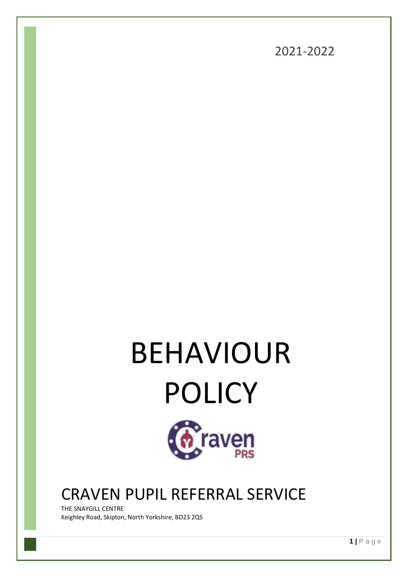

# BEHAVIOUR POLICY



# CRAVEN PUPIL REFERRAL SERVICE

THE SNAYGILL CENTRE Keighley Road, Skipton, North Yorkshire, BD23 2QS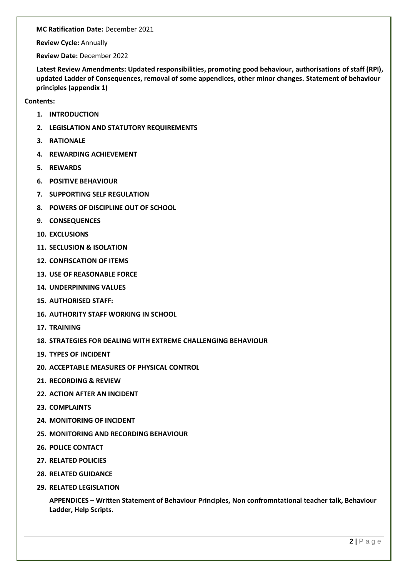**MC Ratification Date:** December 2021

**Review Cycle:** Annually

**Review Date:** December 2022

**Latest Review Amendments: Updated responsibilities, promoting good behaviour, authorisations of staff (RPI), updated Ladder of Consequences, removal of some appendices, other minor changes. Statement of behaviour principles (appendix 1)**

**Contents:**

- **1. INTRODUCTION**
- **2. LEGISLATION AND STATUTORY REQUIREMENTS**
- **3. RATIONALE**
- **4. REWARDING ACHIEVEMENT**
- **5. REWARDS**
- **6. POSITIVE BEHAVIOUR**
- **7. SUPPORTING SELF REGULATION**
- **8. POWERS OF DISCIPLINE OUT OF SCHOOL**
- **9. CONSEQUENCES**
- **10. EXCLUSIONS**
- **11. SECLUSION & ISOLATION**
- **12. CONFISCATION OF ITEMS**
- **13. USE OF REASONABLE FORCE**
- **14. UNDERPINNING VALUES**
- **15. AUTHORISED STAFF:**
- **16. AUTHORITY STAFF WORKING IN SCHOOL**
- **17. TRAINING**
- **18. STRATEGIES FOR DEALING WITH EXTREME CHALLENGING BEHAVIOUR**
- **19. TYPES OF INCIDENT**
- **20. ACCEPTABLE MEASURES OF PHYSICAL CONTROL**
- **21. RECORDING & REVIEW**
- **22. ACTION AFTER AN INCIDENT**
- **23. COMPLAINTS**
- **24. MONITORING OF INCIDENT**
- **25. MONITORING AND RECORDING BEHAVIOUR**
- **26. POLICE CONTACT**
- **27. RELATED POLICIES**
- **28. RELATED GUIDANCE**
- **29. RELATED LEGISLATION**

**APPENDICES – Written Statement of Behaviour Principles, Non confromntational teacher talk, Behaviour Ladder, Help Scripts.**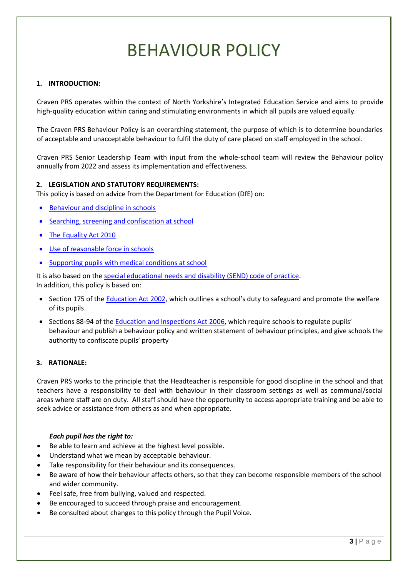# BEHAVIOUR POLICY

# **1. INTRODUCTION:**

Craven PRS operates within the context of North Yorkshire's Integrated Education Service and aims to provide high-quality education within caring and stimulating environments in which all pupils are valued equally.

The Craven PRS Behaviour Policy is an overarching statement, the purpose of which is to determine boundaries of acceptable and unacceptable behaviour to fulfil the duty of care placed on staff employed in the school.

Craven PRS Senior Leadership Team with input from the whole-school team will review the Behaviour policy annually from 2022 and assess its implementation and effectiveness.

# **2. LEGISLATION AND STATUTORY REQUIREMENTS:**

This policy is based on advice from the Department for Education (DfE) on:

- [Behaviour and discipline in schools](https://www.gov.uk/government/publications/behaviour-and-discipline-in-schools)
- [Searching, screening and confiscation at school](https://www.gov.uk/government/publications/searching-screening-and-confiscation)
- [The Equality Act 2010](https://www.gov.uk/government/publications/equality-act-2010-advice-for-schools)
- [Use of reasonable force in schools](https://www.gov.uk/government/publications/use-of-reasonable-force-in-schools)
- [Supporting pupils with medical conditions at school](https://www.gov.uk/government/publications/supporting-pupils-at-school-with-medical-conditions--3)

It is also based on the [special educational needs and disability \(SEND\) code of practice.](https://www.gov.uk/government/publications/send-code-of-practice-0-to-25) In addition, this policy is based on:

- Section 175 of the [Education Act 2002,](http://www.legislation.gov.uk/ukpga/2002/32/section/175) which outlines a school's duty to safeguard and promote the welfare of its pupils
- Sections 88-94 of the [Education and Inspections Act 2006](http://www.legislation.gov.uk/ukpga/2006/40/section/88), which require schools to regulate pupils' behaviour and publish a behaviour policy and written statement of behaviour principles, and give schools the authority to confiscate pupils' property

# **3. RATIONALE:**

Craven PRS works to the principle that the Headteacher is responsible for good discipline in the school and that teachers have a responsibility to deal with behaviour in their classroom settings as well as communal/social areas where staff are on duty. All staff should have the opportunity to access appropriate training and be able to seek advice or assistance from others as and when appropriate.

# *Each pupil has the right to:*

- Be able to learn and achieve at the highest level possible.
- Understand what we mean by acceptable behaviour.
- Take responsibility for their behaviour and its consequences.
- Be aware of how their behaviour affects others, so that they can become responsible members of the school and wider community.
- Feel safe, free from bullying, valued and respected.
- Be encouraged to succeed through praise and encouragement.
- Be consulted about changes to this policy through the Pupil Voice.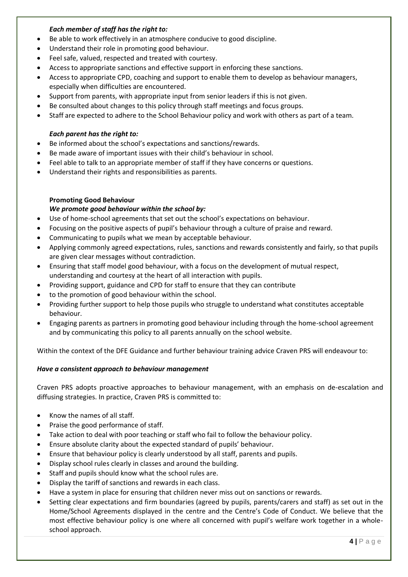# *Each member of staff has the right to:*

- Be able to work effectively in an atmosphere conducive to good discipline.
- Understand their role in promoting good behaviour.
- Feel safe, valued, respected and treated with courtesy.
- Access to appropriate sanctions and effective support in enforcing these sanctions.
- Access to appropriate CPD, coaching and support to enable them to develop as behaviour managers, especially when difficulties are encountered.
- Support from parents, with appropriate input from senior leaders if this is not given.
- Be consulted about changes to this policy through staff meetings and focus groups.
- Staff are expected to adhere to the School Behaviour policy and work with others as part of a team.

# *Each parent has the right to:*

- Be informed about the school's expectations and sanctions/rewards.
- Be made aware of important issues with their child's behaviour in school.
- Feel able to talk to an appropriate member of staff if they have concerns or questions.
- Understand their rights and responsibilities as parents.

# **Promoting Good Behaviour**

# *We promote good behaviour within the school by:*

- Use of home-school agreements that set out the school's expectations on behaviour.
- Focusing on the positive aspects of pupil's behaviour through a culture of praise and reward.
- Communicating to pupils what we mean by acceptable behaviour.
- Applying commonly agreed expectations, rules, sanctions and rewards consistently and fairly, so that pupils are given clear messages without contradiction.
- Ensuring that staff model good behaviour, with a focus on the development of mutual respect, understanding and courtesy at the heart of all interaction with pupils.
- Providing support, guidance and CPD for staff to ensure that they can contribute
- to the promotion of good behaviour within the school.
- Providing further support to help those pupils who struggle to understand what constitutes acceptable behaviour.
- Engaging parents as partners in promoting good behaviour including through the home-school agreement and by communicating this policy to all parents annually on the school website.

Within the context of the DFE Guidance and further behaviour training advice Craven PRS will endeavour to:

# *Have a consistent approach to behaviour management*

Craven PRS adopts proactive approaches to behaviour management, with an emphasis on de-escalation and diffusing strategies. In practice, Craven PRS is committed to:

- Know the names of all staff.
- Praise the good performance of staff.
- Take action to deal with poor teaching or staff who fail to follow the behaviour policy.
- Ensure absolute clarity about the expected standard of pupils' behaviour.
- Ensure that behaviour policy is clearly understood by all staff, parents and pupils.
- Display school rules clearly in classes and around the building.
- Staff and pupils should know what the school rules are.
- Display the tariff of sanctions and rewards in each class.
- Have a system in place for ensuring that children never miss out on sanctions or rewards.
- Setting clear expectations and firm boundaries (agreed by pupils, parents/carers and staff) as set out in the Home/School Agreements displayed in the centre and the Centre's Code of Conduct. We believe that the most effective behaviour policy is one where all concerned with pupil's welfare work together in a wholeschool approach.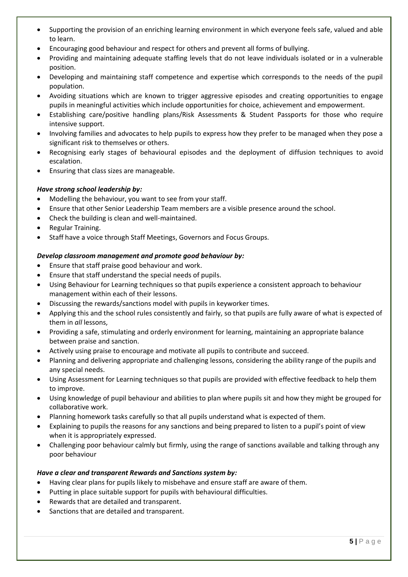- Supporting the provision of an enriching learning environment in which everyone feels safe, valued and able to learn.
- Encouraging good behaviour and respect for others and prevent all forms of bullying.
- Providing and maintaining adequate staffing levels that do not leave individuals isolated or in a vulnerable position.
- Developing and maintaining staff competence and expertise which corresponds to the needs of the pupil population.
- Avoiding situations which are known to trigger aggressive episodes and creating opportunities to engage pupils in meaningful activities which include opportunities for choice, achievement and empowerment.
- Establishing care/positive handling plans/Risk Assessments & Student Passports for those who require intensive support.
- Involving families and advocates to help pupils to express how they prefer to be managed when they pose a significant risk to themselves or others.
- Recognising early stages of behavioural episodes and the deployment of diffusion techniques to avoid escalation.
- Ensuring that class sizes are manageable.

# *Have strong school leadership by:*

- Modelling the behaviour, you want to see from your staff.
- Ensure that other Senior Leadership Team members are a visible presence around the school.
- Check the building is clean and well-maintained.
- Regular Training.
- Staff have a voice through Staff Meetings, Governors and Focus Groups.

# *Develop classroom management and promote good behaviour by:*

- Ensure that staff praise good behaviour and work.
- Ensure that staff understand the special needs of pupils.
- Using Behaviour for Learning techniques so that pupils experience a consistent approach to behaviour management within each of their lessons.
- Discussing the rewards/sanctions model with pupils in keyworker times.
- Applying this and the school rules consistently and fairly, so that pupils are fully aware of what is expected of them in *all* lessons,
- Providing a safe, stimulating and orderly environment for learning, maintaining an appropriate balance between praise and sanction.
- Actively using praise to encourage and motivate all pupils to contribute and succeed.
- Planning and delivering appropriate and challenging lessons, considering the ability range of the pupils and any special needs.
- Using Assessment for Learning techniques so that pupils are provided with effective feedback to help them to improve.
- Using knowledge of pupil behaviour and abilities to plan where pupils sit and how they might be grouped for collaborative work.
- Planning homework tasks carefully so that all pupils understand what is expected of them.
- Explaining to pupils the reasons for any sanctions and being prepared to listen to a pupil's point of view when it is appropriately expressed.
- Challenging poor behaviour calmly but firmly, using the range of sanctions available and talking through any poor behaviour

# *Have a clear and transparent Rewards and Sanctions system by:*

- Having clear plans for pupils likely to misbehave and ensure staff are aware of them.
- Putting in place suitable support for pupils with behavioural difficulties.
- Rewards that are detailed and transparent.
- Sanctions that are detailed and transparent.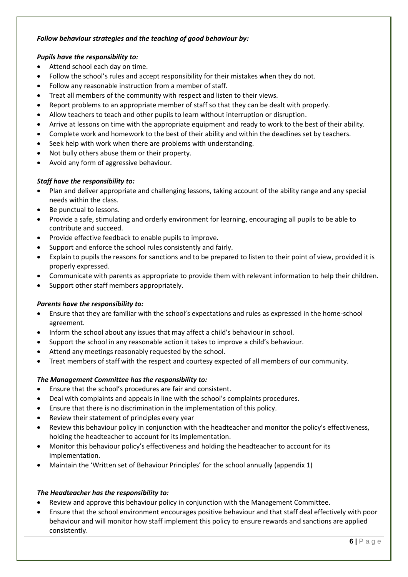# *Follow behaviour strategies and the teaching of good behaviour by:*

# *Pupils have the responsibility to:*

- Attend school each day on time.
- Follow the school's rules and accept responsibility for their mistakes when they do not.
- Follow any reasonable instruction from a member of staff.
- Treat all members of the community with respect and listen to their views.
- Report problems to an appropriate member of staff so that they can be dealt with properly.
- Allow teachers to teach and other pupils to learn without interruption or disruption.
- Arrive at lessons on time with the appropriate equipment and ready to work to the best of their ability.
- Complete work and homework to the best of their ability and within the deadlines set by teachers.
- Seek help with work when there are problems with understanding.
- Not bully others abuse them or their property.
- Avoid any form of aggressive behaviour.

# *Staff have the responsibility to:*

- Plan and deliver appropriate and challenging lessons, taking account of the ability range and any special needs within the class.
- Be punctual to lessons.
- Provide a safe, stimulating and orderly environment for learning, encouraging all pupils to be able to contribute and succeed.
- Provide effective feedback to enable pupils to improve.
- Support and enforce the school rules consistently and fairly.
- Explain to pupils the reasons for sanctions and to be prepared to listen to their point of view, provided it is properly expressed.
- Communicate with parents as appropriate to provide them with relevant information to help their children.
- Support other staff members appropriately.

# *Parents have the responsibility to:*

- Ensure that they are familiar with the school's expectations and rules as expressed in the home-school agreement.
- Inform the school about any issues that may affect a child's behaviour in school.
- Support the school in any reasonable action it takes to improve a child's behaviour.
- Attend any meetings reasonably requested by the school.
- Treat members of staff with the respect and courtesy expected of all members of our community.

# *The Management Committee has the responsibility to:*

- Ensure that the school's procedures are fair and consistent.
- Deal with complaints and appeals in line with the school's complaints procedures.
- Ensure that there is no discrimination in the implementation of this policy.
- Review their statement of principles every year
- Review this behaviour policy in conjunction with the headteacher and monitor the policy's effectiveness, holding the headteacher to account for its implementation.
- Monitor this behaviour policy's effectiveness and holding the headteacher to account for its implementation.
- Maintain the 'Written set of Behaviour Principles' for the school annually (appendix 1)

# *The Headteacher has the responsibility to:*

- Review and approve this behaviour policy in conjunction with the Management Committee.
- Ensure that the school environment encourages positive behaviour and that staff deal effectively with poor behaviour and will monitor how staff implement this policy to ensure rewards and sanctions are applied consistently.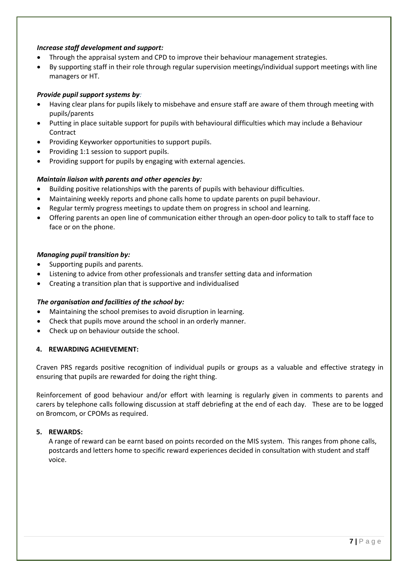# *Increase staff development and support:*

- Through the appraisal system and CPD to improve their behaviour management strategies.
- By supporting staff in their role through regular supervision meetings/individual support meetings with line managers or HT.

# *Provide pupil support systems by:*

- Having clear plans for pupils likely to misbehave and ensure staff are aware of them through meeting with pupils/parents
- Putting in place suitable support for pupils with behavioural difficulties which may include a Behaviour Contract
- Providing Keyworker opportunities to support pupils.
- Providing 1:1 session to support pupils.
- Providing support for pupils by engaging with external agencies.

# *Maintain liaison with parents and other agencies by:*

- Building positive relationships with the parents of pupils with behaviour difficulties.
- Maintaining weekly reports and phone calls home to update parents on pupil behaviour.
- Regular termly progress meetings to update them on progress in school and learning.
- Offering parents an open line of communication either through an open-door policy to talk to staff face to face or on the phone.

# *Managing pupil transition by:*

- Supporting pupils and parents.
- Listening to advice from other professionals and transfer setting data and information
- Creating a transition plan that is supportive and individualised

# *The organisation and facilities of the school by:*

- Maintaining the school premises to avoid disruption in learning.
- Check that pupils move around the school in an orderly manner.
- Check up on behaviour outside the school.

# **4. REWARDING ACHIEVEMENT:**

Craven PRS regards positive recognition of individual pupils or groups as a valuable and effective strategy in ensuring that pupils are rewarded for doing the right thing.

Reinforcement of good behaviour and/or effort with learning is regularly given in comments to parents and carers by telephone calls following discussion at staff debriefing at the end of each day. These are to be logged on Bromcom, or CPOMs as required.

# **5. REWARDS:**

A range of reward can be earnt based on points recorded on the MIS system. This ranges from phone calls, postcards and letters home to specific reward experiences decided in consultation with student and staff voice.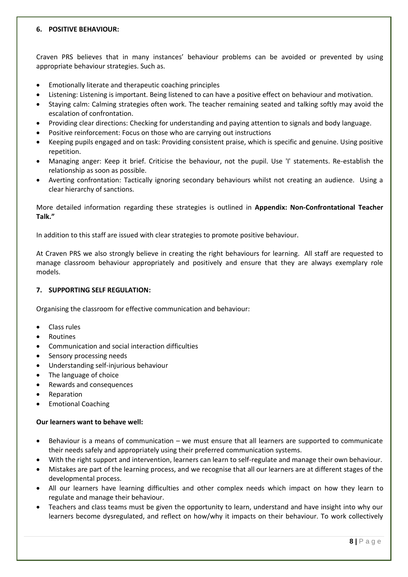# **6. POSITIVE BEHAVIOUR:**

Craven PRS believes that in many instances' behaviour problems can be avoided or prevented by using appropriate behaviour strategies. Such as.

- Emotionally literate and therapeutic coaching principles
- Listening: Listening is important. Being listened to can have a positive effect on behaviour and motivation.
- Staying calm: Calming strategies often work. The teacher remaining seated and talking softly may avoid the escalation of confrontation.
- Providing clear directions: Checking for understanding and paying attention to signals and body language.
- Positive reinforcement: Focus on those who are carrying out instructions
- Keeping pupils engaged and on task: Providing consistent praise, which is specific and genuine. Using positive repetition.
- Managing anger: Keep it brief. Criticise the behaviour, not the pupil. Use 'I' statements. Re-establish the relationship as soon as possible.
- Averting confrontation: Tactically ignoring secondary behaviours whilst not creating an audience. Using a clear hierarchy of sanctions.

More detailed information regarding these strategies is outlined in **Appendix: Non-Confrontational Teacher Talk."**

In addition to this staff are issued with clear strategies to promote positive behaviour.

At Craven PRS we also strongly believe in creating the right behaviours for learning. All staff are requested to manage classroom behaviour appropriately and positively and ensure that they are always exemplary role models.

# **7. SUPPORTING SELF REGULATION:**

Organising the classroom for effective communication and behaviour:

- Class rules
- Routines
- Communication and social interaction difficulties
- Sensory processing needs
- Understanding self-injurious behaviour
- The language of choice
- Rewards and consequences
- **Reparation**
- Emotional Coaching

# **Our learners want to behave well:**

- Behaviour is a means of communication we must ensure that all learners are supported to communicate their needs safely and appropriately using their preferred communication systems.
- With the right support and intervention, learners can learn to self-regulate and manage their own behaviour.
- Mistakes are part of the learning process, and we recognise that all our learners are at different stages of the developmental process.
- All our learners have learning difficulties and other complex needs which impact on how they learn to regulate and manage their behaviour.
- Teachers and class teams must be given the opportunity to learn, understand and have insight into why our learners become dysregulated, and reflect on how/why it impacts on their behaviour. To work collectively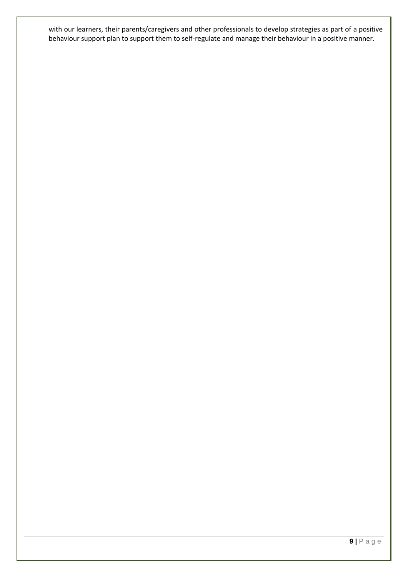with our learners, their parents/caregivers and other professionals to develop strategies as part of a positive behaviour support plan to support them to self-regulate and manage their behaviour in a positive manner.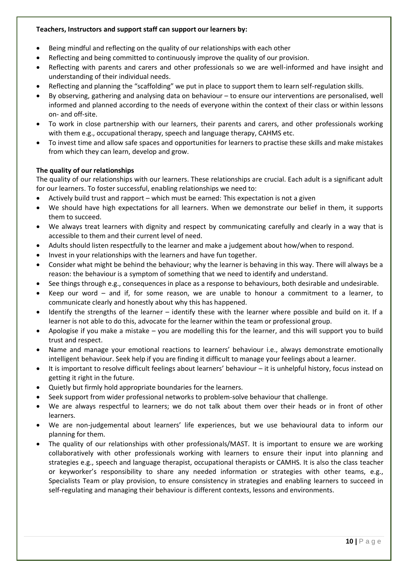# **Teachers, Instructors and support staff can support our learners by:**

- Being mindful and reflecting on the quality of our relationships with each other
- Reflecting and being committed to continuously improve the quality of our provision.
- Reflecting with parents and carers and other professionals so we are well-informed and have insight and understanding of their individual needs.
- Reflecting and planning the "scaffolding" we put in place to support them to learn self-regulation skills.
- By observing, gathering and analysing data on behaviour to ensure our interventions are personalised, well informed and planned according to the needs of everyone within the context of their class or within lessons on- and off-site.
- To work in close partnership with our learners, their parents and carers, and other professionals working with them e.g., occupational therapy, speech and language therapy, CAHMS etc.
- To invest time and allow safe spaces and opportunities for learners to practise these skills and make mistakes from which they can learn, develop and grow.

# **The quality of our relationships**

The quality of our relationships with our learners. These relationships are crucial. Each adult is a significant adult for our learners. To foster successful, enabling relationships we need to:

- Actively build trust and rapport which must be earned: This expectation is not a given
- We should have high expectations for all learners. When we demonstrate our belief in them, it supports them to succeed.
- We always treat learners with dignity and respect by communicating carefully and clearly in a way that is accessible to them and their current level of need.
- Adults should listen respectfully to the learner and make a judgement about how/when to respond.
- Invest in your relationships with the learners and have fun together.
- Consider what might be behind the behaviour; why the learner is behaving in this way. There will always be a reason: the behaviour is a symptom of something that we need to identify and understand.
- See things through e.g., consequences in place as a response to behaviours, both desirable and undesirable.
- Keep our word and if, for some reason, we are unable to honour a commitment to a learner, to communicate clearly and honestly about why this has happened.
- Identify the strengths of the learner identify these with the learner where possible and build on it. If a learner is not able to do this, advocate for the learner within the team or professional group.
- Apologise if you make a mistake you are modelling this for the learner, and this will support you to build trust and respect.
- Name and manage your emotional reactions to learners' behaviour i.e., always demonstrate emotionally intelligent behaviour. Seek help if you are finding it difficult to manage your feelings about a learner.
- It is important to resolve difficult feelings about learners' behaviour it is unhelpful history, focus instead on getting it right in the future.
- Quietly but firmly hold appropriate boundaries for the learners.
- Seek support from wider professional networks to problem-solve behaviour that challenge.
- We are always respectful to learners; we do not talk about them over their heads or in front of other learners.
- We are non-judgemental about learners' life experiences, but we use behavioural data to inform our planning for them.
- The quality of our relationships with other professionals/MAST. It is important to ensure we are working collaboratively with other professionals working with learners to ensure their input into planning and strategies e.g., speech and language therapist, occupational therapists or CAMHS. It is also the class teacher or keyworker's responsibility to share any needed information or strategies with other teams, e.g., Specialists Team or play provision, to ensure consistency in strategies and enabling learners to succeed in self-regulating and managing their behaviour is different contexts, lessons and environments.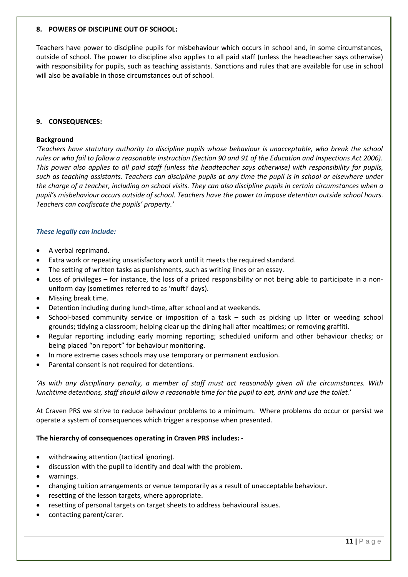#### **8. POWERS OF DISCIPLINE OUT OF SCHOOL:**

Teachers have power to discipline pupils for misbehaviour which occurs in school and, in some circumstances, outside of school. The power to discipline also applies to all paid staff (unless the headteacher says otherwise) with responsibility for pupils, such as teaching assistants. Sanctions and rules that are available for use in school will also be available in those circumstances out of school.

# **9. CONSEQUENCES:**

#### **Background**

*'Teachers have statutory authority to discipline pupils whose behaviour is unacceptable, who break the school*  rules or who fail to follow a reasonable instruction (Section 90 and 91 of the Education and Inspections Act 2006). *This power also applies to all paid staff (unless the headteacher says otherwise) with responsibility for pupils, such as teaching assistants. Teachers can discipline pupils at any time the pupil is in school or elsewhere under the charge of a teacher, including on school visits. They can also discipline pupils in certain circumstances when a pupil's misbehaviour occurs outside of school. Teachers have the power to impose detention outside school hours. Teachers can confiscate the pupils' property.'*

#### *These legally can include:*

- A verbal reprimand.
- Extra work or repeating unsatisfactory work until it meets the required standard.
- The setting of written tasks as punishments, such as writing lines or an essay.
- Loss of privileges for instance, the loss of a prized responsibility or not being able to participate in a nonuniform day (sometimes referred to as 'mufti' days).
- Missing break time.
- Detention including during lunch-time, after school and at weekends.
- School-based community service or imposition of a task such as picking up litter or weeding school grounds; tidying a classroom; helping clear up the dining hall after mealtimes; or removing graffiti.
- Regular reporting including early morning reporting; scheduled uniform and other behaviour checks; or being placed "on report" for behaviour monitoring.
- In more extreme cases schools may use temporary or permanent exclusion.
- Parental consent is not required for detentions.

*'As with any disciplinary penalty, a member of staff must act reasonably given all the circumstances. With lunchtime detentions, staff should allow a reasonable time for the pupil to eat, drink and use the toilet.*'

At Craven PRS we strive to reduce behaviour problems to a minimum. Where problems do occur or persist we operate a system of consequences which trigger a response when presented.

#### **The hierarchy of consequences operating in Craven PRS includes: -**

- withdrawing attention (tactical ignoring).
- discussion with the pupil to identify and deal with the problem.
- warnings.
- changing tuition arrangements or venue temporarily as a result of unacceptable behaviour.
- resetting of the lesson targets, where appropriate.
- resetting of personal targets on target sheets to address behavioural issues.
- contacting parent/carer.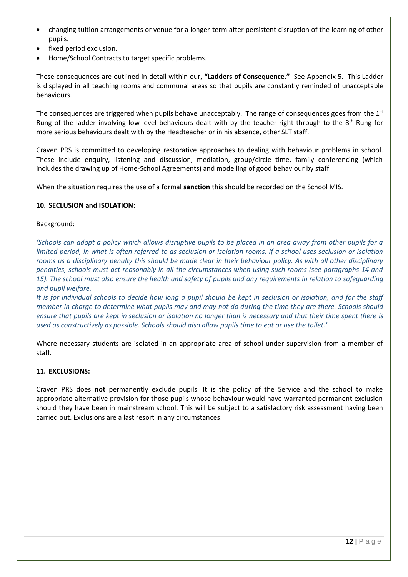- changing tuition arrangements or venue for a longer-term after persistent disruption of the learning of other pupils.
- fixed period exclusion.
- Home/School Contracts to target specific problems.

These consequences are outlined in detail within our, **"Ladders of Consequence."** See Appendix 5.This Ladder is displayed in all teaching rooms and communal areas so that pupils are constantly reminded of unacceptable behaviours.

The consequences are triggered when pupils behave unacceptably. The range of consequences goes from the  $1<sup>st</sup>$ Rung of the ladder involving low level behaviours dealt with by the teacher right through to the 8<sup>th</sup> Rung for more serious behaviours dealt with by the Headteacher or in his absence, other SLT staff.

Craven PRS is committed to developing restorative approaches to dealing with behaviour problems in school. These include enquiry, listening and discussion, mediation, group/circle time, family conferencing (which includes the drawing up of Home-School Agreements) and modelling of good behaviour by staff.

When the situation requires the use of a formal **sanction** this should be recorded on the School MIS.

# **10. SECLUSION and ISOLATION:**

# Background:

*'Schools can adopt a policy which allows disruptive pupils to be placed in an area away from other pupils for a limited period, in what is often referred to as seclusion or isolation rooms. If a school uses seclusion or isolation rooms as a disciplinary penalty this should be made clear in their behaviour policy. As with all other disciplinary penalties, schools must act reasonably in all the circumstances when using such rooms (see paragraphs 14 and 15). The school must also ensure the health and safety of pupils and any requirements in relation to safeguarding and pupil welfare.* 

*It is for individual schools to decide how long a pupil should be kept in seclusion or isolation, and for the staff member in charge to determine what pupils may and may not do during the time they are there. Schools should ensure that pupils are kept in seclusion or isolation no longer than is necessary and that their time spent there is used as constructively as possible. Schools should also allow pupils time to eat or use the toilet.'*

Where necessary students are isolated in an appropriate area of school under supervision from a member of staff.

# **11. EXCLUSIONS:**

Craven PRS does **not** permanently exclude pupils. It is the policy of the Service and the school to make appropriate alternative provision for those pupils whose behaviour would have warranted permanent exclusion should they have been in mainstream school. This will be subject to a satisfactory risk assessment having been carried out. Exclusions are a last resort in any circumstances.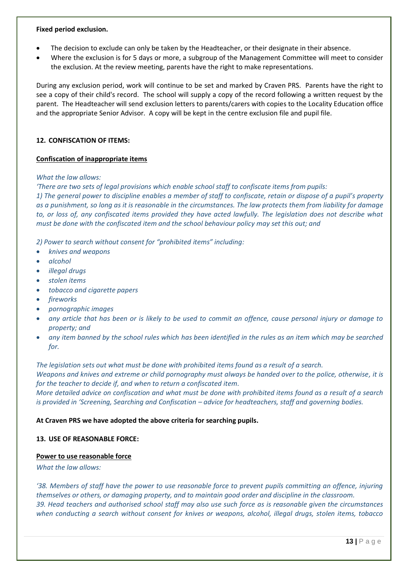#### **Fixed period exclusion.**

- The decision to exclude can only be taken by the Headteacher, or their designate in their absence.
- Where the exclusion is for 5 days or more, a subgroup of the Management Committee will meet to consider the exclusion. At the review meeting, parents have the right to make representations.

During any exclusion period, work will continue to be set and marked by Craven PRS. Parents have the right to see a copy of their child's record. The school will supply a copy of the record following a written request by the parent. The Headteacher will send exclusion letters to parents/carers with copies to the Locality Education office and the appropriate Senior Advisor. A copy will be kept in the centre exclusion file and pupil file.

# **12. CONFISCATION OF ITEMS:**

# **Confiscation of inappropriate items**

# *What the law allows:*

*'There are two sets of legal provisions which enable school staff to confiscate items from pupils:* 

*1) The general power to discipline enables a member of staff to confiscate, retain or dispose of a pupil's property as a punishment, so long as it is reasonable in the circumstances. The law protects them from liability for damage*  to, or loss of, any confiscated items provided they have acted lawfully. The legislation does not describe what *must be done with the confiscated item and the school behaviour policy may set this out; and* 

*2) Power to search without consent for "prohibited items" including:* 

- *knives and weapons*
- *alcohol*
- *illegal drugs*
- *stolen items*
- *tobacco and cigarette papers*
- *fireworks*
- *pornographic images*
- *any article that has been or is likely to be used to commit an offence, cause personal injury or damage to property; and*
- *any item banned by the school rules which has been identified in the rules as an item which may be searched for.*

*The legislation sets out what must be done with prohibited items found as a result of a search.* 

*Weapons and knives and extreme or child pornography must always be handed over to the police, otherwise, it is for the teacher to decide if, and when to return a confiscated item.* 

*More detailed advice on confiscation and what must be done with prohibited items found as a result of a search is provided in 'Screening, Searching and Confiscation – advice for headteachers, staff and governing bodies.* 

# **At Craven PRS we have adopted the above criteria for searching pupils.**

# **13. USE OF REASONABLE FORCE:**

# **Power to use reasonable force**

*What the law allows:* 

*'38. Members of staff have the power to use reasonable force to prevent pupils committing an offence, injuring themselves or others, or damaging property, and to maintain good order and discipline in the classroom. 39. Head teachers and authorised school staff may also use such force as is reasonable given the circumstances when conducting a search without consent for knives or weapons, alcohol, illegal drugs, stolen items, tobacco*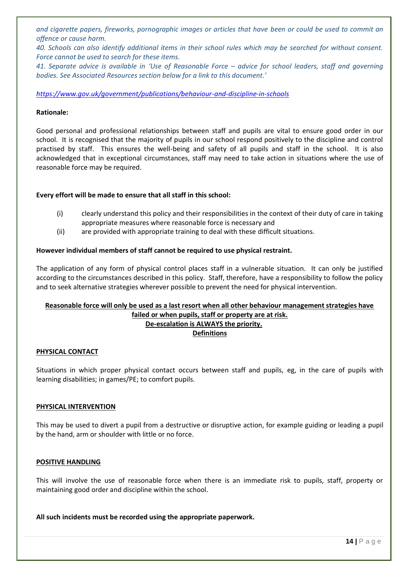*and cigarette papers, fireworks, pornographic images or articles that have been or could be used to commit an offence or cause harm.* 

*40. Schools can also identify additional items in their school rules which may be searched for without consent. Force cannot be used to search for these items.* 

*41. Separate advice is available in 'Use of Reasonable Force – advice for school leaders, staff and governing bodies. See Associated Resources section below for a link to this document.'*

# *<https://www.gov.uk/government/publications/behaviour-and-discipline-in-schools>*

#### **Rationale:**

Good personal and professional relationships between staff and pupils are vital to ensure good order in our school. It is recognised that the majority of pupils in our school respond positively to the discipline and control practised by staff. This ensures the well-being and safety of all pupils and staff in the school. It is also acknowledged that in exceptional circumstances, staff may need to take action in situations where the use of reasonable force may be required.

#### **Every effort will be made to ensure that all staff in this school:**

- (i) clearly understand this policy and their responsibilities in the context of their duty of care in taking appropriate measures where reasonable force is necessary and
- (ii) are provided with appropriate training to deal with these difficult situations.

#### **However individual members of staff cannot be required to use physical restraint.**

The application of any form of physical control places staff in a vulnerable situation. It can only be justified according to the circumstances described in this policy. Staff, therefore, have a responsibility to follow the policy and to seek alternative strategies wherever possible to prevent the need for physical intervention.

# **Reasonable force will only be used as a last resort when all other behaviour management strategies have failed or when pupils, staff or property are at risk. De-escalation is ALWAYS the priority.**

# **Definitions**

#### **PHYSICAL CONTACT**

Situations in which proper physical contact occurs between staff and pupils, eg, in the care of pupils with learning disabilities; in games/PE; to comfort pupils.

#### **PHYSICAL INTERVENTION**

This may be used to divert a pupil from a destructive or disruptive action, for example guiding or leading a pupil by the hand, arm or shoulder with little or no force.

#### **POSITIVE HANDLING**

This will involve the use of reasonable force when there is an immediate risk to pupils, staff, property or maintaining good order and discipline within the school.

#### **All such incidents must be recorded using the appropriate paperwork.**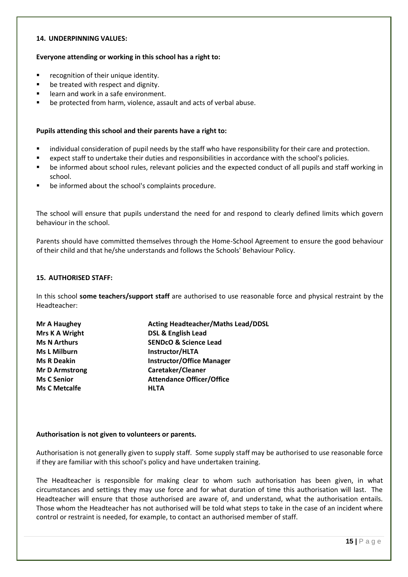#### **14. UNDERPINNING VALUES:**

#### **Everyone attending or working in this school has a right to:**

- recognition of their unique identity.
- be treated with respect and dignity.
- learn and work in a safe environment.
- be protected from harm, violence, assault and acts of verbal abuse.

#### **Pupils attending this school and their parents have a right to:**

- individual consideration of pupil needs by the staff who have responsibility for their care and protection.
- expect staff to undertake their duties and responsibilities in accordance with the school's policies.
- be informed about school rules, relevant policies and the expected conduct of all pupils and staff working in school.
- be informed about the school's complaints procedure.

The school will ensure that pupils understand the need for and respond to clearly defined limits which govern behaviour in the school.

Parents should have committed themselves through the Home-School Agreement to ensure the good behaviour of their child and that he/she understands and follows the Schools' Behaviour Policy.

#### **15. AUTHORISED STAFF:**

In this school **some teachers/support staff** are authorised to use reasonable force and physical restraint by the Headteacher:

| Mr A Haughey          | <b>Acting Headteacher/Maths Lead/DDSL</b> |  |
|-----------------------|-------------------------------------------|--|
| Mrs K A Wright        | <b>DSL &amp; English Lead</b>             |  |
| <b>Ms N Arthurs</b>   | <b>SENDCO &amp; Science Lead</b>          |  |
| <b>Ms L Milburn</b>   | Instructor/HLTA                           |  |
| <b>Ms R Deakin</b>    | <b>Instructor/Office Manager</b>          |  |
| <b>Mr D Armstrong</b> | Caretaker/Cleaner                         |  |
| <b>Ms C Senior</b>    | <b>Attendance Officer/Office</b>          |  |
| <b>Ms C Metcalfe</b>  | <b>HLTA</b>                               |  |

#### **Authorisation is not given to volunteers or parents.**

Authorisation is not generally given to supply staff. Some supply staff may be authorised to use reasonable force if they are familiar with this school's policy and have undertaken training.

The Headteacher is responsible for making clear to whom such authorisation has been given, in what circumstances and settings they may use force and for what duration of time this authorisation will last. The Headteacher will ensure that those authorised are aware of, and understand, what the authorisation entails. Those whom the Headteacher has not authorised will be told what steps to take in the case of an incident where control or restraint is needed, for example, to contact an authorised member of staff.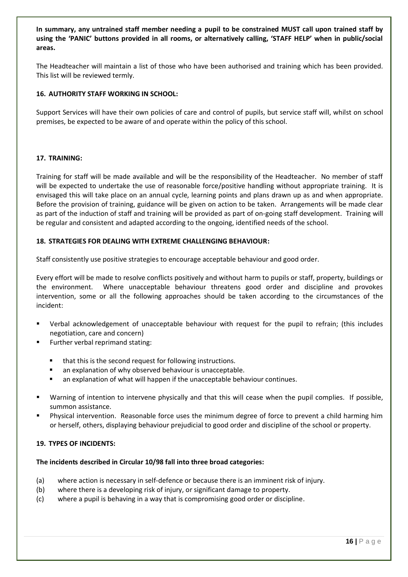**In summary, any untrained staff member needing a pupil to be constrained MUST call upon trained staff by using the 'PANIC' buttons provided in all rooms, or alternatively calling, 'STAFF HELP' when in public/social areas.**

The Headteacher will maintain a list of those who have been authorised and training which has been provided. This list will be reviewed termly.

# **16. AUTHORITY STAFF WORKING IN SCHOOL:**

Support Services will have their own policies of care and control of pupils, but service staff will, whilst on school premises, be expected to be aware of and operate within the policy of this school.

# **17. TRAINING:**

Training for staff will be made available and will be the responsibility of the Headteacher. No member of staff will be expected to undertake the use of reasonable force/positive handling without appropriate training. It is envisaged this will take place on an annual cycle, learning points and plans drawn up as and when appropriate. Before the provision of training, guidance will be given on action to be taken. Arrangements will be made clear as part of the induction of staff and training will be provided as part of on-going staff development. Training will be regular and consistent and adapted according to the ongoing, identified needs of the school.

# **18. STRATEGIES FOR DEALING WITH EXTREME CHALLENGING BEHAVIOUR:**

Staff consistently use positive strategies to encourage acceptable behaviour and good order.

Every effort will be made to resolve conflicts positively and without harm to pupils or staff, property, buildings or the environment. Where unacceptable behaviour threatens good order and discipline and provokes intervention, some or all the following approaches should be taken according to the circumstances of the incident:

- Verbal acknowledgement of unacceptable behaviour with request for the pupil to refrain; (this includes negotiation, care and concern)
- Further verbal reprimand stating:
	- that this is the second request for following instructions.
	- an explanation of why observed behaviour is unacceptable.
	- an explanation of what will happen if the unacceptable behaviour continues.
- Warning of intention to intervene physically and that this will cease when the pupil complies. If possible, summon assistance.
- Physical intervention. Reasonable force uses the minimum degree of force to prevent a child harming him or herself, others, displaying behaviour prejudicial to good order and discipline of the school or property.

# **19. TYPES OF INCIDENTS:**

# **The incidents described in Circular 10/98 fall into three broad categories:**

- (a) where action is necessary in self-defence or because there is an imminent risk of injury.
- (b) where there is a developing risk of injury, or significant damage to property.
- (c) where a pupil is behaving in a way that is compromising good order or discipline.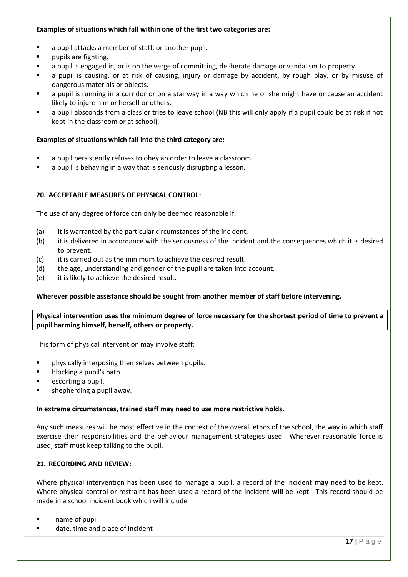# **Examples of situations which fall within one of the first two categories are:**

- a pupil attacks a member of staff, or another pupil.
- pupils are fighting.
- a pupil is engaged in, or is on the verge of committing, deliberate damage or vandalism to property.
- a pupil is causing, or at risk of causing, injury or damage by accident, by rough play, or by misuse of dangerous materials or objects.
- a pupil is running in a corridor or on a stairway in a way which he or she might have or cause an accident likely to injure him or herself or others.
- a pupil absconds from a class or tries to leave school (NB this will only apply if a pupil could be at risk if not kept in the classroom or at school).

# **Examples of situations which fall into the third category are:**

- a pupil persistently refuses to obey an order to leave a classroom.
- a pupil is behaving in a way that is seriously disrupting a lesson.

# **20. ACCEPTABLE MEASURES OF PHYSICAL CONTROL:**

The use of any degree of force can only be deemed reasonable if:

- (a) it is warranted by the particular circumstances of the incident.
- (b) it is delivered in accordance with the seriousness of the incident and the consequences which it is desired to prevent.
- (c) it is carried out as the minimum to achieve the desired result.
- (d) the age, understanding and gender of the pupil are taken into account.
- (e) it is likely to achieve the desired result.

# **Wherever possible assistance should be sought from another member of staff before intervening.**

**Physical intervention uses the minimum degree of force necessary for the shortest period of time to prevent a pupil harming himself, herself, others or property.**

This form of physical intervention may involve staff:

- physically interposing themselves between pupils.
- blocking a pupil's path.
- escorting a pupil.
- shepherding a pupil away.

# **In extreme circumstances, trained staff may need to use more restrictive holds.**

Any such measures will be most effective in the context of the overall ethos of the school, the way in which staff exercise their responsibilities and the behaviour management strategies used. Wherever reasonable force is used, staff must keep talking to the pupil.

# **21. RECORDING AND REVIEW:**

Where physical intervention has been used to manage a pupil, a record of the incident **may** need to be kept. Where physical control or restraint has been used a record of the incident **will** be kept. This record should be made in a school incident book which will include

- name of pupil
- date, time and place of incident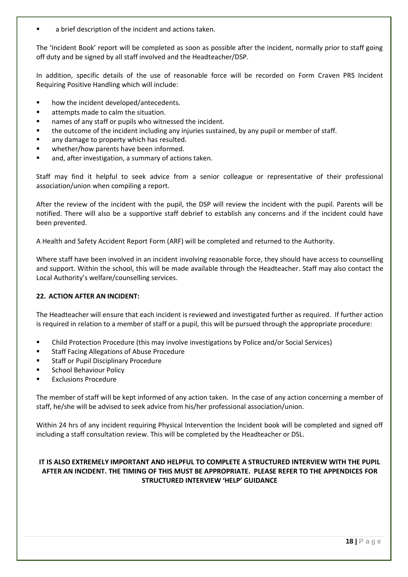a brief description of the incident and actions taken.

The 'Incident Book' report will be completed as soon as possible after the incident, normally prior to staff going off duty and be signed by all staff involved and the Headteacher/DSP.

In addition, specific details of the use of reasonable force will be recorded on Form Craven PRS Incident Requiring Positive Handling which will include:

- how the incident developed/antecedents.
- attempts made to calm the situation.
- names of any staff or pupils who witnessed the incident.
- the outcome of the incident including any injuries sustained, by any pupil or member of staff.
- any damage to property which has resulted.
- whether/how parents have been informed.
- and, after investigation, a summary of actions taken.

Staff may find it helpful to seek advice from a senior colleague or representative of their professional association/union when compiling a report.

After the review of the incident with the pupil, the DSP will review the incident with the pupil. Parents will be notified. There will also be a supportive staff debrief to establish any concerns and if the incident could have been prevented.

A Health and Safety Accident Report Form (ARF) will be completed and returned to the Authority.

Where staff have been involved in an incident involving reasonable force, they should have access to counselling and support. Within the school, this will be made available through the Headteacher. Staff may also contact the Local Authority's welfare/counselling services.

# **22. ACTION AFTER AN INCIDENT:**

The Headteacher will ensure that each incident is reviewed and investigated further as required. If further action is required in relation to a member of staff or a pupil, this will be pursued through the appropriate procedure:

- **•** Child Protection Procedure (this may involve investigations by Police and/or Social Services)
- Staff Facing Allegations of Abuse Procedure
- Staff or Pupil Disciplinary Procedure
- School Behaviour Policy
- **Exclusions Procedure**

The member of staff will be kept informed of any action taken. In the case of any action concerning a member of staff, he/she will be advised to seek advice from his/her professional association/union.

Within 24 hrs of any incident requiring Physical Intervention the Incident book will be completed and signed off including a staff consultation review. This will be completed by the Headteacher or DSL.

# **IT IS ALSO EXTREMELY IMPORTANT AND HELPFUL TO COMPLETE A STRUCTURED INTERVIEW WITH THE PUPIL AFTER AN INCIDENT. THE TIMING OF THIS MUST BE APPROPRIATE. PLEASE REFER TO THE APPENDICES FOR STRUCTURED INTERVIEW 'HELP' GUIDANCE**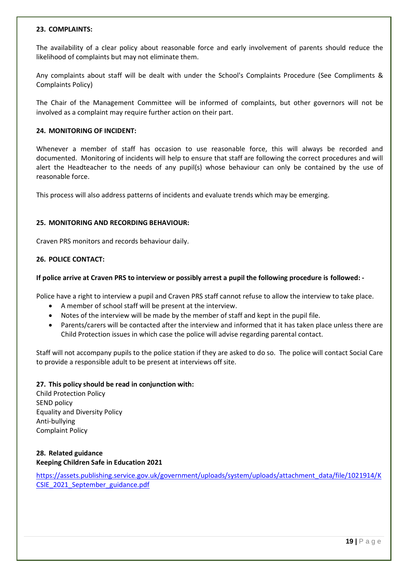#### **23. COMPLAINTS:**

The availability of a clear policy about reasonable force and early involvement of parents should reduce the likelihood of complaints but may not eliminate them.

Any complaints about staff will be dealt with under the School's Complaints Procedure (See Compliments & Complaints Policy)

The Chair of the Management Committee will be informed of complaints, but other governors will not be involved as a complaint may require further action on their part.

#### **24. MONITORING OF INCIDENT:**

Whenever a member of staff has occasion to use reasonable force, this will always be recorded and documented. Monitoring of incidents will help to ensure that staff are following the correct procedures and will alert the Headteacher to the needs of any pupil(s) whose behaviour can only be contained by the use of reasonable force.

This process will also address patterns of incidents and evaluate trends which may be emerging.

#### **25. MONITORING AND RECORDING BEHAVIOUR:**

Craven PRS monitors and records behaviour daily.

#### **26. POLICE CONTACT:**

#### **If police arrive at Craven PRS to interview or possibly arrest a pupil the following procedure is followed: -**

Police have a right to interview a pupil and Craven PRS staff cannot refuse to allow the interview to take place.

- A member of school staff will be present at the interview.
- Notes of the interview will be made by the member of staff and kept in the pupil file.
- Parents/carers will be contacted after the interview and informed that it has taken place unless there are Child Protection issues in which case the police will advise regarding parental contact.

Staff will not accompany pupils to the police station if they are asked to do so. The police will contact Social Care to provide a responsible adult to be present at interviews off site.

# **27. This policy should be read in conjunction with:**

Child Protection Policy SEND policy Equality and Diversity Policy Anti-bullying Complaint Policy

# **28. Related guidance Keeping Children Safe in Education 2021**

[https://assets.publishing.service.gov.uk/government/uploads/system/uploads/attachment\\_data/file/1021914/K](https://assets.publishing.service.gov.uk/government/uploads/system/uploads/attachment_data/file/1021914/KCSIE_2021_September_guidance.pdf) [CSIE\\_2021\\_September\\_guidance.pdf](https://assets.publishing.service.gov.uk/government/uploads/system/uploads/attachment_data/file/1021914/KCSIE_2021_September_guidance.pdf)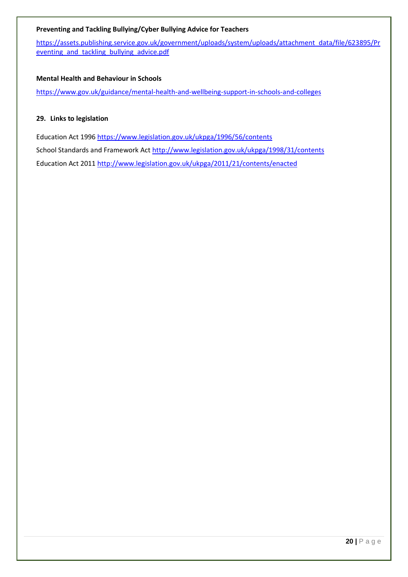# **Preventing and Tackling Bullying/Cyber Bullying Advice for Teachers**

[https://assets.publishing.service.gov.uk/government/uploads/system/uploads/attachment\\_data/file/623895/Pr](https://assets.publishing.service.gov.uk/government/uploads/system/uploads/attachment_data/file/623895/Preventing_and_tackling_bullying_advice.pdf) eventing and tackling bullying advice.pdf

# **Mental Health and Behaviour in Schools**

<https://www.gov.uk/guidance/mental-health-and-wellbeing-support-in-schools-and-colleges>

# **29. Links to legislation**

Education Act 1996<https://www.legislation.gov.uk/ukpga/1996/56/contents> School Standards and Framework Act<http://www.legislation.gov.uk/ukpga/1998/31/contents> Education Act 2011<http://www.legislation.gov.uk/ukpga/2011/21/contents/enacted>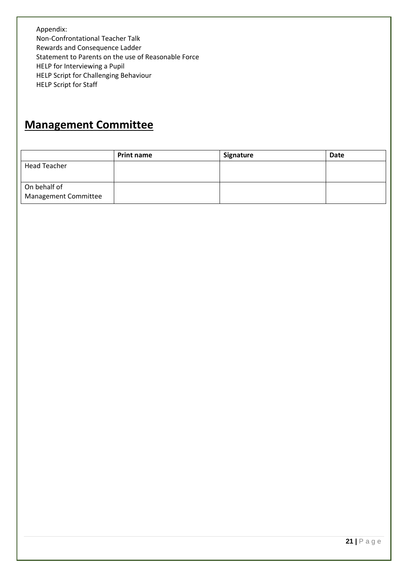Appendix: Non-Confrontational Teacher Talk Rewards and Consequence Ladder Statement to Parents on the use of Reasonable Force HELP for Interviewing a Pupil HELP Script for Challenging Behaviour HELP Script for Staff

# **Management Committee**

|                                      | <b>Print name</b> | Signature | <b>Date</b> |
|--------------------------------------|-------------------|-----------|-------------|
| <b>Head Teacher</b>                  |                   |           |             |
| On behalf of<br>Management Committee |                   |           |             |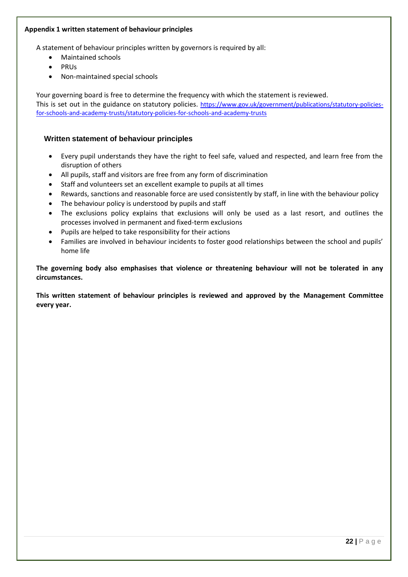# **Appendix 1 written statement of behaviour principles**

A statement of behaviour principles written by governors is required by all:

- Maintained schools
- PRUs
- Non-maintained special schools

Your governing board is free to determine the frequency with which the statement is reviewed. This is set out in the guidance on [statutory policies.](https://www.gov.uk/government/publications/statutory-policies-for-schools) [https://www.gov.uk/government/publications/statutory-policies](https://www.gov.uk/government/publications/statutory-policies-for-schools-and-academy-trusts/statutory-policies-for-schools-and-academy-trusts)[for-schools-and-academy-trusts/statutory-policies-for-schools-and-academy-trusts](https://www.gov.uk/government/publications/statutory-policies-for-schools-and-academy-trusts/statutory-policies-for-schools-and-academy-trusts)

# **Written statement of behaviour principles**

- Every pupil understands they have the right to feel safe, valued and respected, and learn free from the disruption of others
- All pupils, staff and visitors are free from any form of discrimination
- Staff and volunteers set an excellent example to pupils at all times
- Rewards, sanctions and reasonable force are used consistently by staff, in line with the behaviour policy
- The behaviour policy is understood by pupils and staff
- The exclusions policy explains that exclusions will only be used as a last resort, and outlines the processes involved in permanent and fixed-term exclusions
- Pupils are helped to take responsibility for their actions
- Families are involved in behaviour incidents to foster good relationships between the school and pupils' home life

**The governing body also emphasises that violence or threatening behaviour will not be tolerated in any circumstances.**

**This written statement of behaviour principles is reviewed and approved by the Management Committee every year.**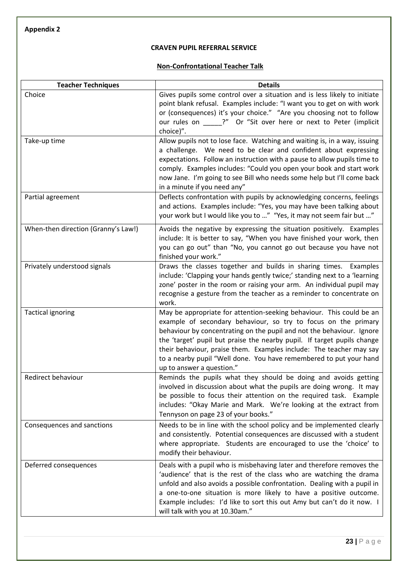**Appendix 2**

# **CRAVEN PUPIL REFERRAL SERVICE**

# **Non-Confrontational Teacher Talk**

| <b>Teacher Techniques</b>           | <b>Details</b>                                                                                                                                                                                                                                                                                                                                                                                                                                                       |  |  |
|-------------------------------------|----------------------------------------------------------------------------------------------------------------------------------------------------------------------------------------------------------------------------------------------------------------------------------------------------------------------------------------------------------------------------------------------------------------------------------------------------------------------|--|--|
| Choice                              | Gives pupils some control over a situation and is less likely to initiate<br>point blank refusal. Examples include: "I want you to get on with work<br>or (consequences) it's your choice." "Are you choosing not to follow<br>our rules on _____?" Or "Sit over here or next to Peter (implicit<br>choice)".                                                                                                                                                        |  |  |
| Take-up time                        | Allow pupils not to lose face. Watching and waiting is, in a way, issuing<br>a challenge. We need to be clear and confident about expressing<br>expectations. Follow an instruction with a pause to allow pupils time to<br>comply. Examples includes: "Could you open your book and start work<br>now Jane. I'm going to see Bill who needs some help but I'll come back<br>in a minute if you need any"                                                            |  |  |
| Partial agreement                   | Deflects confrontation with pupils by acknowledging concerns, feelings<br>and actions. Examples include: "Yes, you may have been talking about<br>your work but I would like you to " "Yes, it may not seem fair but "                                                                                                                                                                                                                                               |  |  |
| When-then direction (Granny's Law!) | Avoids the negative by expressing the situation positively. Examples<br>include: It is better to say, "When you have finished your work, then<br>you can go out" than "No, you cannot go out because you have not<br>finished your work."                                                                                                                                                                                                                            |  |  |
| Privately understood signals        | Draws the classes together and builds in sharing times. Examples<br>include: 'Clapping your hands gently twice;' standing next to a 'learning<br>zone' poster in the room or raising your arm. An individual pupil may<br>recognise a gesture from the teacher as a reminder to concentrate on<br>work.                                                                                                                                                              |  |  |
| <b>Tactical ignoring</b>            | May be appropriate for attention-seeking behaviour. This could be an<br>example of secondary behaviour, so try to focus on the primary<br>behaviour by concentrating on the pupil and not the behaviour. Ignore<br>the 'target' pupil but praise the nearby pupil. If target pupils change<br>their behaviour, praise them. Examples include: The teacher may say<br>to a nearby pupil "Well done. You have remembered to put your hand<br>up to answer a question." |  |  |
| Redirect behaviour                  | Reminds the pupils what they should be doing and avoids getting<br>involved in discussion about what the pupils are doing wrong. It may<br>be possible to focus their attention on the required task. Example<br>includes: "Okay Marie and Mark. We're looking at the extract from<br>Tennyson on page 23 of your books."                                                                                                                                            |  |  |
| Consequences and sanctions          | Needs to be in line with the school policy and be implemented clearly<br>and consistently. Potential consequences are discussed with a student<br>where appropriate. Students are encouraged to use the 'choice' to<br>modify their behaviour.                                                                                                                                                                                                                       |  |  |
| Deferred consequences               | Deals with a pupil who is misbehaving later and therefore removes the<br>'audience' that is the rest of the class who are watching the drama<br>unfold and also avoids a possible confrontation. Dealing with a pupil in<br>a one-to-one situation is more likely to have a positive outcome.<br>Example includes: I'd like to sort this out Amy but can't do it now. I<br>will talk with you at 10.30am."                                                           |  |  |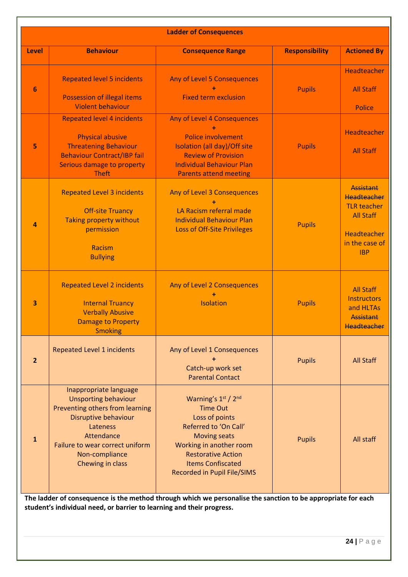| <b>Ladder of Consequences</b> |                                                                                                                                                                                                                     |                                                                                                                                                                                                                                                                                      |                       |                                                                                                                          |  |  |
|-------------------------------|---------------------------------------------------------------------------------------------------------------------------------------------------------------------------------------------------------------------|--------------------------------------------------------------------------------------------------------------------------------------------------------------------------------------------------------------------------------------------------------------------------------------|-----------------------|--------------------------------------------------------------------------------------------------------------------------|--|--|
| Level                         | <b>Behaviour</b>                                                                                                                                                                                                    | <b>Consequence Range</b>                                                                                                                                                                                                                                                             | <b>Responsibility</b> | <b>Actioned By</b>                                                                                                       |  |  |
| 6                             | <b>Repeated level 5 incidents</b><br><b>Possession of illegal items</b><br><b>Violent behaviour</b>                                                                                                                 | Any of Level 5 Consequences<br><b>Fixed term exclusion</b>                                                                                                                                                                                                                           | <b>Pupils</b>         | Headteacher<br><b>All Staff</b><br><b>Police</b>                                                                         |  |  |
| 5                             | <b>Repeated level 4 incidents</b><br><b>Physical abusive</b><br><b>Threatening Behaviour</b><br><b>Behaviour Contract/IBP fail</b><br>Serious damage to property<br><b>Theft</b>                                    | Any of Level 4 Consequences<br><b>Police involvement</b><br>Isolation (all day)/Off site<br><b>Review of Provision</b><br><b>Individual Behaviour Plan</b><br><b>Parents attend meeting</b>                                                                                          | <b>Pupils</b>         | Headteacher<br><b>All Staff</b>                                                                                          |  |  |
| 4                             | <b>Repeated Level 3 incidents</b><br><b>Off-site Truancy</b><br><b>Taking property without</b><br>permission<br>Racism<br><b>Bullying</b>                                                                           | Any of Level 3 Consequences<br>LA Racism referral made<br><b>Individual Behaviour Plan</b><br><b>Loss of Off-Site Privileges</b>                                                                                                                                                     | <b>Pupils</b>         | <b>Assistant</b><br>Headteacher<br><b>TLR teacher</b><br><b>All Staff</b><br>Headteacher<br>in the case of<br><b>IBP</b> |  |  |
| 3                             | <b>Repeated Level 2 incidents</b><br><b>Internal Truancy</b><br><b>Verbally Abusive</b><br><b>Damage to Property</b><br><b>Smoking</b>                                                                              | Any of Level 2 Consequences<br>Isolation                                                                                                                                                                                                                                             | <b>Pupils</b>         | <b>All Staff</b><br><b>Instructors</b><br>and HLTAs<br>Assistant<br>Headteacher                                          |  |  |
| $\overline{2}$                | <b>Repeated Level 1 incidents</b>                                                                                                                                                                                   | Any of Level 1 Consequences<br>Catch-up work set<br><b>Parental Contact</b>                                                                                                                                                                                                          | <b>Pupils</b>         | <b>All Staff</b>                                                                                                         |  |  |
| $\mathbf{1}$                  | Inappropriate language<br><b>Unsporting behaviour</b><br>Preventing others from learning<br>Disruptive behaviour<br>Lateness<br>Attendance<br>Failure to wear correct uniform<br>Non-compliance<br>Chewing in class | Warning's 1st / 2nd<br><b>Time Out</b><br>Loss of points<br>Referred to 'On Call'<br><b>Moving seats</b><br>Working in another room<br><b>Restorative Action</b><br><b>Items Confiscated</b><br>Recorded in Pupil File/SIMS<br>. ia the meatheal thuairdh which was november ion the | <b>Pupils</b>         | All staff                                                                                                                |  |  |

**The ladder of consequence is the method through which we personalise the sanction to be appropriate for each student's individual need, or barrier to learning and their progress.**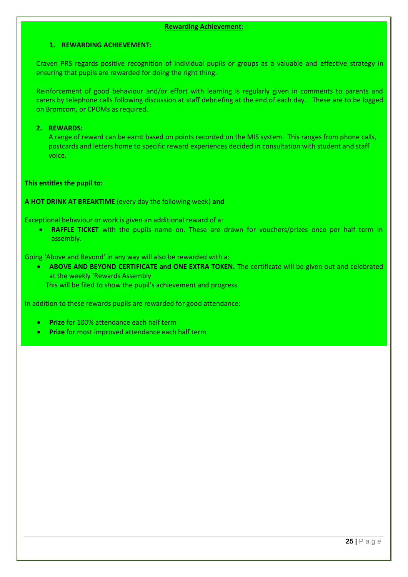#### **Rewarding Achievement**:

#### **1. REWARDING ACHIEVEMENT:**

Craven PRS regards positive recognition of individual pupils or groups as a valuable and effective strategy in ensuring that pupils are rewarded for doing the right thing.

Reinforcement of good behaviour and/or effort with learning is regularly given in comments to parents and carers by telephone calls following discussion at staff debriefing at the end of each day. These are to be logged on Bromcom, or CPOMs as required.

#### **2. REWARDS:**

A range of reward can be earnt based on points recorded on the MIS system. This ranges from phone calls, postcards and letters home to specific reward experiences decided in consultation with student and staff voice.

#### **This entitles the pupil to:**

**A HOT DRINK AT BREAKTIME** (every day the following week) **and** 

Exceptional behaviour or work is given an additional reward of a:

• **RAFFLE TICKET** with the pupils name on. These are drawn for vouchers/prizes once per half term in assembly.

Going 'Above and Beyond' in any way will also be rewarded with a:

• **ABOVE AND BEYOND CERTIFICATE and ONE EXTRA TOKEN.** The certificate will be given out and celebrated at the weekly 'Rewards Assembly This will be filed to show the pupil's achievement and progress.

In addition to these rewards pupils are rewarded for good attendance:

- **Prize** for 100% attendance each half term
- **Prize** for most improved attendance each half term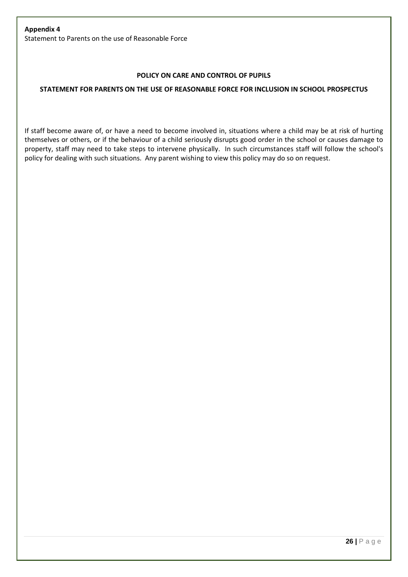# **Appendix 4** Statement to Parents on the use of Reasonable Force

# **POLICY ON CARE AND CONTROL OF PUPILS**

# **STATEMENT FOR PARENTS ON THE USE OF REASONABLE FORCE FOR INCLUSION IN SCHOOL PROSPECTUS**

If staff become aware of, or have a need to become involved in, situations where a child may be at risk of hurting themselves or others, or if the behaviour of a child seriously disrupts good order in the school or causes damage to property, staff may need to take steps to intervene physically. In such circumstances staff will follow the school's policy for dealing with such situations. Any parent wishing to view this policy may do so on request.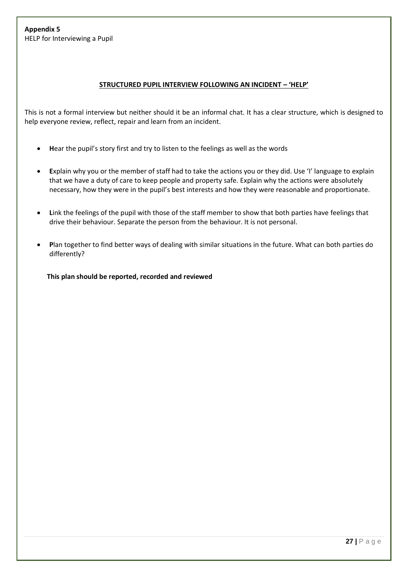# **STRUCTURED PUPIL INTERVIEW FOLLOWING AN INCIDENT – 'HELP'**

This is not a formal interview but neither should it be an informal chat. It has a clear structure, which is designed to help everyone review, reflect, repair and learn from an incident.

- **H**ear the pupil's story first and try to listen to the feelings as well as the words
- **E**xplain why you or the member of staff had to take the actions you or they did. Use 'I' language to explain that we have a duty of care to keep people and property safe. Explain why the actions were absolutely necessary, how they were in the pupil's best interests and how they were reasonable and proportionate.
- **L**ink the feelings of the pupil with those of the staff member to show that both parties have feelings that drive their behaviour. Separate the person from the behaviour. It is not personal.
- **P**lan together to find better ways of dealing with similar situations in the future. What can both parties do differently?

 **This plan should be reported, recorded and reviewed**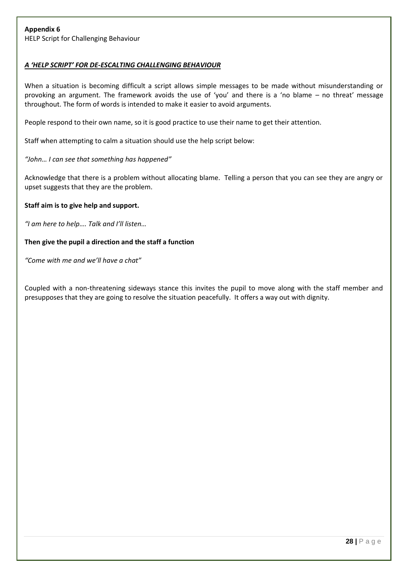# *A 'HELP SCRIPT' FOR DE-ESCALTING CHALLENGING BEHAVIOUR*

When a situation is becoming difficult a script allows simple messages to be made without misunderstanding or provoking an argument. The framework avoids the use of 'you' and there is a 'no blame – no threat' message throughout. The form of words is intended to make it easier to avoid arguments.

People respond to their own name, so it is good practice to use their name to get their attention.

Staff when attempting to calm a situation should use the help script below:

# *"John… I can see that something has happened"*

Acknowledge that there is a problem without allocating blame. Telling a person that you can see they are angry or upset suggests that they are the problem.

# **Staff aim is to give help and support.**

*"I am here to help…. Talk and I'll listen…*

#### **Then give the pupil a direction and the staff a function**

*"Come with me and we'll have a chat"*

Coupled with a non-threatening sideways stance this invites the pupil to move along with the staff member and presupposes that they are going to resolve the situation peacefully. It offers a way out with dignity.